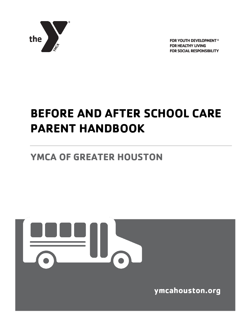

FOR YOUTH DEVELOPMENT® **FOR HEALTHY LIVING FOR SOCIAL RESPONSIBILITY** 

# **BEFORE AND AFTER SCHOOL CARE PARENT HANDBOOK**

# **YMCA OF GREATER HOUSTON**



**ymcahouston.org**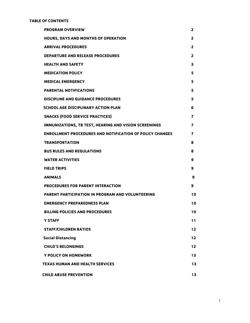#### **TABLE OF CONTENTS**

| <b>PROGRAM OVERVIEW</b>                                         | $\overline{2}$ |
|-----------------------------------------------------------------|----------------|
| HOURS, DAYS AND MONTHS OF OPERATION                             | $\overline{2}$ |
| <b>ARRIVAL PROCEDURES</b>                                       | $\overline{2}$ |
| <b>DEPARTURE AND RELEASE PROCEDURES</b>                         | 2              |
| <b>HEALTH AND SAFETY</b>                                        | 3              |
| <b>MEDICATION POLICY</b>                                        | 5              |
| <b>MEDICAL EMERGENCY</b>                                        | 5              |
| <b>PARENTAL NOTIFICATIONS</b>                                   | 5              |
| <b>DISCIPLINE AND GUIDANCE PROCEDURES</b>                       | 5              |
| <b>SCHOOL AGE DISCIPLINARY ACTION PLAN</b>                      | 6              |
| <b>SNACKS (FOOD SERVICE PRACTICES)</b>                          | 7              |
| IMMUNIZATIONS, TB TEST, HEARING AND VISION SCREENINGS           | 7              |
| <b>ENROLLMENT PROCEDURES AND NOTIFICATION OF POLICY CHANGES</b> | $\overline{ }$ |
| <b>TRANSPORTATION</b>                                           | 8              |
| <b>BUS RULES AND REGULATIONS</b>                                | 8              |
| <b>WATER ACTIVITIES</b>                                         | 9              |
| <b>FIELD TRIPS</b>                                              | 9              |
| <b>ANIMALS</b>                                                  | 9              |
| PROCEDURES FOR PARENT INTERACTION                               | 9              |
| PARENT PARTICIPATION IN PROGRAM AND VOLUNTEERING                | 10             |
| <b>EMERGENCY PREPAREDNESS PLAN</b>                              | 10             |
| <b>BILLING POLICIES AND PROCEDURES</b>                          | 10             |
| <b>Y STAFF</b>                                                  | 11             |
| <b>STAFF/CHILDREN RATIOS</b>                                    | 12             |
| <b>Social Distancing</b>                                        | $12$           |
| <b>CHILD'S BELONGINGS</b>                                       | 12             |
| Y POLICY ON HOMEWORK                                            | 13             |
| <b>TEXAS HUMAN AND HEALTH SERVICES</b>                          | 13             |
| <b>CHILD ABUSE PREVENTION</b>                                   | 13             |
|                                                                 |                |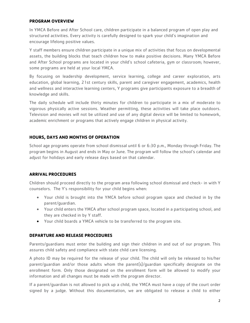#### **PROGRAM OVERVIEW**

In YMCA Before and After School care, children participate in a balanced program of open play and structured activities. Every activity is carefully designed to spark your child's imagination and encourage lifelong positive values.

Y staff members ensure children participate in a unique mix of activities that focus on developmental assets, the building blocks that teach children how to make positive decisions. Many YMCA Before and After School programs are located in your child's school cafeteria, gym or classroom; however, some programs are held at your local YMCA.

By focusing on leadership development, service learning, college and career exploration, arts education, global learning, 21st century skills, parent and caregiver engagement, academics, health and wellness and interactive learning centers, Y programs give participants exposure to a breadth of knowledge and skills.

The daily schedule will include thirty minutes for children to participate in a mix of moderate to vigorous physically active sessions. Weather permitting, these activities will take place outdoors. Television and movies will not be utilized and use of any digital device will be limited to homework, academic enrichment or programs that actively engage children in physical activity.

#### **HOURS, DAYS AND MONTHS OF OPERATION**

School age programs operate from school dismissal until 6 or 6:30 p.m., Monday through Friday. The program begins in August and ends in May or June. The program will follow the school's calendar and adjust for holidays and early release days based on that calendar.

#### **ARRIVAL PROCEDURES**

Children should proceed directly to the program area following school dismissal and check- in with Y counselors. The Y's responsibility for your child begins when:

- Your child is brought into the YMCA before school program space and checked in by the parent/guardian.
- Your child enters the YMCA after school program space, located in a participating school, and they are checked in by Y staff.
- Your child boards a YMCA vehicle to be transferred to the program site.

#### **DEPARTURE AND RELEASE PROCEDURES**

Parents/guardians must enter the building and sign their children in and out of our program. This assures child safety and compliance with state child care licensing.

A photo ID may be required for the release of your child. The child will only be released to his/her parent/guardian and/or those adults whom the parent(s)/guardian specifically designate on the enrollment form. Only those designated on the enrollment form will be allowed to modify your information and all changes must be made with the program director.

If a parent/guardian is not allowed to pick up a child, the YMCA must have a copy of the court order signed by a judge. Without this documentation, we are obligated to release a child to either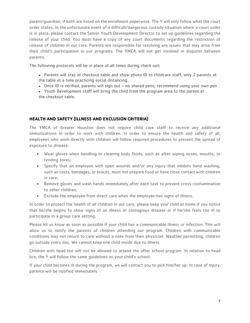parent/guardian, if both are listed on the enrollment paperwork. The Y will only follow what the court order states. In the unfortunate event of a difficult/dangerous custody situation where a court order is in place, please contact the Senior Youth Development Director to set up guidelines regarding the release of your child. You must have a copy of any court documents regarding the restriction of release of children in our care. Parents are responsible for resolving any issues that may arise from their child's participation in our programs. The YMCA will not get involved in disputes between parents.

The following protocols will be in place at all times during check out:

- Parents will stay at checkout table and show photo ID to childcare staff, only 2 parents at the table at a time practicing social distancing.
- Once ID is verified, parents will sign out no shared pens; recommend using your own pen
- Youth Development staff will bring the child from the program area to the parent at the checkout table.

# **HEALTH AND SAFETY (ILLNESS AND EXCLUSION CRITERIA)**

The YMCA of Greater Houston does not require child care staff to receive any additional immunizations in order to work with children. In order to ensure the health and safety of all, employees who work directly with children will follow required procedures to prevent the spread of exposure to disease:

- Wear gloves when handling or cleaning body fluids, such as after wiping noses, mouths, or tending sores;
- Specify that an employee with open wounds and/or any injury that inhibits hand washing, such as casts, bandages, or braces, must not prepare food or have close contact with children in care;
- Remove gloves and wash hands immediately after each task to prevent cross-contamination to other children;
- Exclude the employee from direct care when the employee has signs of illness.

In order to protect the health of all children in our care, please keep your child at home if you notice that he/she begins to show signs of an illness or contagious disease or if he/she feels too ill to participate in a group care setting.

Please let us know as soon as possible if your child has a communicable illness or infection. This will allow us to notify the parents of children attending our program. Children with communicable conditions may not return to care without a note from their physician. Weather permitting, children go outside every day. We cannot keep one child inside due to illness.

Children with head lice will not be allowed to attend the after school program. In relation to head lice, the Y will follow the same guidelines as your child's school.

If your child becomes ill during the program, we will contact you to pick him/her up. In case of injury, parents will be notified immediately.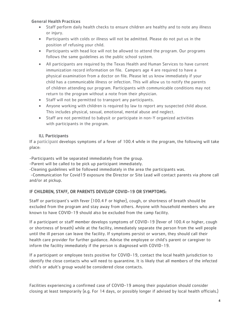# General Health Practices

- Staff perform daily health checks to ensure children are healthy and to note any illness or injury.
- Participants with colds or illness will not be admitted. Please do not put us in the position of refusing your child.
- Participants with head lice will not be allowed to attend the program. Our programs follows the same guidelines as the public school system.
- All participants are required by the Texas Health and Human Services to have current immunization record information on file. Campers age 4 are required to have a physical examination from a doctor on file. Please let us know immediately if your child has a communicable illness or infection. This will allow us to notify the parents of children attending our program. Participants with communicable conditions may not return to the program without a note from their physician.
- Staff will not be permitted to transport any participants.
- Anyone working with children is required by law to report any suspected child abuse. This includes physical, sexual, emotional, mental abuse and neglect.
- Staff are not permitted to babysit or participate in non-Y organized activities with participants in the program.

# ILL Participants

If a participant develops symptoms of a fever of 100.4 while in the program, the following will take place:

-Participants will be separated immediately from the group.

-Parent will be called to be pick up participant immediately.

-Cleaning guidelines will be followed immediately in the area the participants was.

-Communication for Covid19 exposure the Director or Site Lead will contact parents via phone call and/or at pickup.

# IF CHILDREN, STAFF, OR PARENTS DEVELOP COVID-19 OR SYMPTOMS:

Staff or participant's with fever (100.4 F or higher), cough, or shortness of breath should be excluded from the program and stay away from others. Anyone with household members who are known to have COVID-19 should also be excluded from the camp facility.

If a participant or staff member develops symptoms of COVID-19 (fever of 100.4 or higher, cough or shortness of breath) while at the facility, immediately separate the person from the well people until the ill person can leave the facility. If symptoms persist or worsen, they should call their health care provider for further guidance. Advise the employee or child's parent or caregiver to inform the facility immediately if the person is diagnosed with COVID-19.

If a participant or employee tests positive for COVID-19, contact the local health jurisdiction to identify the close contacts who will need to quarantine. It is likely that all members of the infected child's or adult's group would be considered close contacts.

Facilities experiencing a confirmed case of COVID-19 among their population should consider closing at least temporarily (e.g. For 14 days, or possibly longer if advised by local health officials.)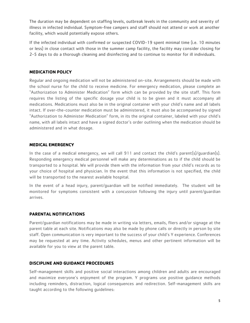The duration may be dependent on staffing levels, outbreak levels in the community and severity of illness in infected individual. Symptom-free campers and staff should not attend or work at another facility, which would potentially expose others.

If the infected individual with confirmed or suspected COVID-19 spent minimal time (i.e. 10 minutes or less) in close contact with those in the summer camp facility, the facility may consider closing for 2-5 days to do a thorough cleaning and disinfecting and to continue to monitor for ill individuals.

#### **MEDICATION POLICY**

Regular and ongoing medication will not be administered on-site. Arrangements should be made with the school nurse for the child to receive medicine. For emergency medication, please complete an "Authorization to Administer Medication" form which can be provided by the site staff. This form requires the listing of the specific dosage your child is to be given and it must accompany all medications. Medications must also be in the original container with your child's name and all labels intact. If over-the-counter medication must be administered, it must also be accompanied by signed "Authorization to Administer Medication" form, in its the original container, labeled with your child's name, with all labels intact and have a signed doctor's order outlining when the medication should be administered and in what dosage.

#### **MEDICAL EMERGENCY**

In the case of a medical emergency, we will call 911 and contact the child's parent(s)/quardian(s). Responding emergency medical personnel will make any determinations as to if the child should be transported to a hospital. We will provide them with the information from your child's records as to your choice of hospital and physician. In the event that this information is not specified, the child will be transported to the nearest available hospital.

In the event of a head injury, parent/guardian will be notified immediately. The student will be monitored for symptoms consistent with a concussion following the injury until parent/guardian arrives.

# **PARENTAL NOTIFICATIONS**

Parent/guardian notifications may be made in writing via letters, emails, fliers and/or signage at the parent table at each site. Notifications may also be made by phone calls or directly in person by site staff. Open communication is very important to the success of your child's Y experience. Conferences may be requested at any time. Activity schedules, menus and other pertinent information will be available for you to view at the parent table.

#### **DISCIPLINE AND GUIDANCE PROCEDURES**

Self-management skills and positive social interactions among children and adults are encouraged and maximize everyone's enjoyment of the program. Y programs use positive guidance methods including reminders, distraction, logical consequences and redirection. Self-management skills are taught according to the following guidelines: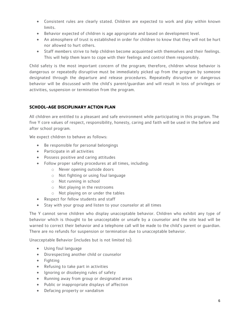- Consistent rules are clearly stated. Children are expected to work and play within known limits.
- Behavior expected of children is age appropriate and based on development level.
- An atmosphere of trust is established in order for children to know that they will not be hurt nor allowed to hurt others.
- Staff members strive to help children become acquainted with themselves and their feelings. This will help them learn to cope with their feelings and control them responsibly.

Child safety is the most important concern of the program; therefore, children whose behavior is dangerous or repeatedly disruptive must be immediately picked up from the program by someone designated through the departure and release procedures. Repeatedly disruptive or dangerous behavior will be discussed with the child's parent/guardian and will result in loss of privileges or activities, suspension or termination from the program.

# **SCHOOL-AGE DISCIPLINARY ACTION PLAN**

All children are entitled to a pleasant and safe environment while participating in this program. The five Y core values of respect, responsibility, honesty, caring and faith will be used in the before and after school program.

We expect children to behave as follows:

- Be responsible for personal belongings
- Participate in all activities
- Possess positive and caring attitudes
- Follow proper safety procedures at all times, including:
	- o Never opening outside doors
	- o Not fighting or using foul language
	- o Not running in school
	- o Not playing in the restrooms
	- o Not playing on or under the tables
- Respect for fellow students and staff
- Stay with your group and listen to your counselor at all times

The Y cannot serve children who display unacceptable behavior. Children who exhibit any type of behavior which is thought to be unacceptable or unsafe by a counselor and the site lead will be warned to correct their behavior and a telephone call will be made to the child's parent or guardian. There are no refunds for suspension or termination due to unacceptable behavior.

Unacceptable Behavior (includes but is not limited to):

- Using foul language
- Disrespecting another child or counselor
- $\bullet$  Fighting
- Refusing to take part in activities
- Ignoring or disobeying rules of safety
- Running away from group or designated areas
- Public or inappropriate displays of affection
- Defacing property or vandalism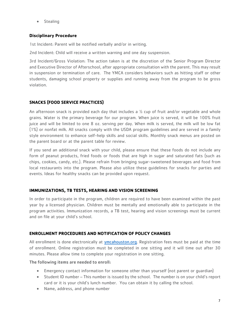**•** Stealing

# **Disciplinary Procedure**

1st Incident: Parent will be notified verbally and/or in writing.

2nd Incident: Child will receive a written warning and one day suspension.

3rd Incident/Gross Violation: The action taken is at the discretion of the Senior Program Director and Executive Director of Afterschool, after appropriate consultation with the parent. This may result in suspension or termination of care. The YMCA considers behaviors such as hitting staff or other students, damaging school property or supplies and running away from the program to be gross violation.

# **SNACKS (FOOD SERVICE PRACTICES)**

An afternoon snack is provided each day that includes a  $\frac{1}{2}$  cup of fruit and/or vegetable and whole grains. Water is the primary beverage for our program. When juice is served, it will be 100% fruit juice and will be limited to one 8 oz. serving per day. When milk is served, the milk will be low fat (1%) or nonfat milk. All snacks comply with the USDA program guidelines and are served in a family style environment to enhance self-help skills and social skills. Monthly snack menus are posted on the parent board or at the parent table for review.

If you send an additional snack with your child, please ensure that these foods do not include any form of peanut products, fried foods or foods that are high in sugar and saturated fats (such as chips, cookies, candy, etc.). Please refrain from bringing sugar-sweetened beverages and food from local restaurants into the program. Please also utilize these guidelines for snacks for parties and events. Ideas for healthy snacks can be provided upon request.

# **IMMUNIZATIONS, TB TESTS, HEARING AND VISION SCREENING**

In order to participate in the program, children are required to have been examined within the past year by a licensed physician. Children must be mentally and emotionally able to participate in the program activities. Immunization records, a TB test, hearing and vision screenings must be current and on file at your child's school.

# **ENROLLMENT PROCEDURES AND NOTIFICATION OF POLICY CHANGES**

All enrollment is done electronically at ymcahouston.org. Registration fees must be paid at the time of enrollment. Online registration must be completed in one sitting and it will time out after 30 minutes. Please allow time to complete your registration in one sitting.

The following items are needed to enroll:

- Emergency contact information for someone other than yourself (not parent or guardian)
- Student ID number This number is issued by the school. The number is on your child's report card or it is your child's lunch number. You can obtain it by calling the school.
- Name, address, and phone number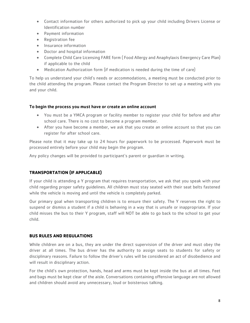- Contact information for others authorized to pick up your child including Drivers License or Identification number
- Payment information
- Registration fee
- **•** Insurance information
- Doctor and hospital information
- Complete Child Care Licensing FARE form ( Food Allergy and Anaphylaxis Emergency Care Plan) if applicable to the child
- Medication Authorization form (if medication is needed during the time of care)

To help us understand your child's needs or accommodations, a meeting must be conducted prior to the child attending the program. Please contact the Program Director to set up a meeting with you and your child.

# To begin the process you must have or create an online account

- You must be a YMCA program or facility member to register your child for before and after school care. There is no cost to become a program member.
- After you have become a member, we ask that you create an online account so that you can register for after school care.

Please note that it may take up to 24 hours for paperwork to be processed. Paperwork must be processed entirely before your child may begin the program.

Any policy changes will be provided to participant's parent or guardian in writing.

# **TRANSPORTATION (IF APPLICABLE)**

If your child is attending a Y program that requires transportation, we ask that you speak with your child regarding proper safety guidelines. All children must stay seated with their seat belts fastened while the vehicle is moving and until the vehicle is completely parked.

Our primary goal when transporting children is to ensure their safety. The Y reserves the right to suspend or dismiss a student if a child is behaving in a way that is unsafe or inappropriate. If your child misses the bus to their Y program, staff will NOT be able to go back to the school to get your child.

# **BUS RULES AND REGULATIONS**

While children are on a bus, they are under the direct supervision of the driver and must obey the driver at all times. The bus driver has the authority to assign seats to students for safety or disciplinary reasons. Failure to follow the driver's rules will be considered an act of disobedience and will result in disciplinary action.

For the child's own protection, hands, head and arms must be kept inside the bus at all times. Feet and bags must be kept clear of the aisle. Conversations containing offensive language are not allowed and children should avoid any unnecessary, loud or boisterous talking.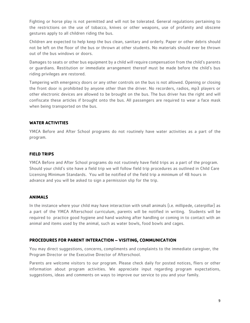Fighting or horse play is not permitted and will not be tolerated. General regulations pertaining to the restrictions on the use of tobacco, knives or other weapons, use of profanity and obscene gestures apply to all children riding the bus.

Children are expected to help keep the bus clean, sanitary and orderly. Paper or other debris should not be left on the floor of the bus or thrown at other students. No materials should ever be thrown out of the bus windows or doors.

Damages to seats or other bus equipment by a child will require compensation from the child's parents or guardians. Restitution or immediate arrangement thereof must be made before the child's bus riding privileges are restored.

Tampering with emergency doors or any other controls on the bus is not allowed. Opening or closing the front door is prohibited by anyone other than the driver. No recorders, radios, mp3 players or other electronic devices are allowed to be brought on the bus. The bus driver has the right and will confiscate these articles if brought onto the bus. All passengers are required to wear a face mask when being transported on the bus.

# **WATER ACTIVITIES**

YMCA Before and After School programs do not routinely have water activities as a part of the program.

# **FIELD TRIPS**

YMCA Before and After School programs do not routinely have field trips as a part of the program. Should your child's site have a field trip we will follow field trip procedures as outlined in Child Care Licensing Minimum Standards. You will be notified of the field trip a minimum of 48 hours in advance and you will be asked to sign a permission slip for the trip.

# **ANIMALS**

In the instance where your child may have interaction with small animals (i.e. millipede, caterpillar) as a part of the YMCA Afterschool curriculum, parents will be notified in writing. Students will be required to practice good hygiene and hand washing after handling or coming in to contact with an animal and items used by the animal, such as water bowls, food bowls and cages.

# **PROCEDURES FOR PARENT INTERACTION – VISITING, COMMUNICATION**

You may direct suggestions, concerns, compliments and complaints to the immediate caregiver, the Program Director or the Executive Director of Afterschool.

Parents are welcome visitors to our program. Please check daily for posted notices, fliers or other information about program activities. We appreciate input regarding program expectations, suggestions, ideas and comments on ways to improve our service to you and your family.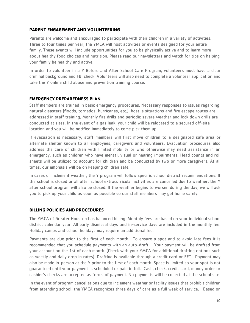#### **PARENT ENGAGEMENT AND VOLUNTEERING**

Parents are welcome and encouraged to participate with their children in a variety of activities. Three to four times per year, the YMCA will host activities or events designed for your entire family. These events will include opportunities for you to be physically active and to learn more about healthy food choices and nutrition. Please read our newsletters and watch for tips on helping your family be healthy and active.

In order to volunteer in a Y Before and After School Care Program, volunteers must have a clear criminal background and FBI check. Volunteers will also need to complete a volunteer application and take the Y online child abuse and prevention training course.

#### **EMERGENCY PREPAREDNESS PLAN**

Staff members are trained in basic emergency procedures. Necessary responses to issues regarding natural disasters (floods, tornados, hurricanes, etc.), hostile situations and fire escape routes are addressed in staff training. Monthly fire drills and periodic severe weather and lock down drills are conducted at sites. In the event of a gas leak, your child will be relocated to a secured off-site location and you will be notified immediately to come pick them up.

If evacuation is necessary, staff members will first move children to a designated safe area or alternate shelter known to all employees, caregivers and volunteers. Evacuation procedures also address the care of children with limited mobility or who otherwise may need assistance in an emergency, such as children who have mental, visual or hearing impairments. Head counts and roll sheets will be utilized to account for children and be conducted by two or more caregivers. At all times, our emphasis will be on keeping children safe.

In cases of inclement weather, the Y program will follow specific school district recommendations. If the school is closed or all after school extracurricular activities are cancelled due to weather, the Y after school program will also be closed. If the weather begins to worsen during the day, we will ask you to pick up your child as soon as possible so our staff members may get home safely.

#### **BILLING POLICIES AND PROCEDURES**

The YMCA of Greater Houston has balanced billing. Monthly fees are based on your individual school district calendar year. All early dismissal days and in-service days are included in the monthly fee. Holiday camps and school holidays may require an additional fee.

Payments are due prior to the first of each month. To ensure a spot and to avoid late fees it is recommended that you schedule payments with an auto-draft. Your payment will be drafted from your account on the 1st of each month. (Check with your YMCA for additional drafting options such as weekly and daily drop in rates). Drafting is available through a credit card or EFT. Payment may also be made in-person at the Y prior to the first of each month. Space is limited so your spot is not guaranteed until your payment is scheduled or paid in full. Cash, check, credit card, money order or cashier's checks are accepted as forms of payment. No payments will be collected at the school site.

In the event of program cancellations due to inclement weather or facility issues that prohibit children from attending school, the YMCA recognizes three days of care as a full week of service. Based on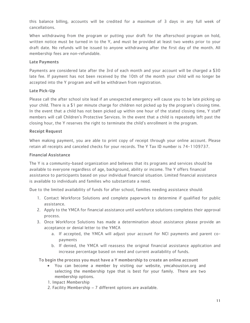this balance billing, accounts will be credited for a maximum of 3 days in any full week of cancellations.

When withdrawing from the program or putting your draft for the afterschool program on hold, written notice must be turned in to the Y, and must be provided at least two weeks prior to your draft date. No refunds will be issued to anyone withdrawing after the first day of the month. All membership fees are non-refundable.

#### Late Payments

Payments are considered late after the 3rd of each month and your account will be charged a \$30 late fee. If payment has not been received by the 10th of the month your child will no longer be accepted into the Y program and will be withdrawn from registration.

#### Late Pick-Up

Please call the after school site lead if an unexpected emergency will cause you to be late picking up your child. There is a \$1 per minute charge for children not picked up by the program's closing time. In the event that a child has not been picked up within one hour of the stated closing time, Y staff members will call Children's Protective Services. In the event that a child is repeatedly left past the closing hour, the Y reserves the right to terminate the child's enrollment in the program.

#### Receipt Request

When making payment, you are able to print copy of receipt through your online account. Please retain all receipts and canceled checks for your records. The Y Tax ID number is 74-1109737.

#### Financial Assistance

The Y is a community-based organization and believes that its programs and services should be available to everyone regardless of age, background, ability or income. The Y offers financial assistance to participants based on your individual financial situation. Limited financial assistance is available to individuals and families who substantiate a need.

Due to the limited availability of funds for after school, families needing assistance should:

- 1. Contact Workforce Solutions and complete paperwork to determine if qualified for public assistance.
- 2. Apply to the YMCA for financial assistance until workforce solutions completes their approval process.
- 3. Once Workforce Solutions has made a determination about assistance please provide an acceptance or denial letter to the YMCA
	- a. If accepted, the YMCA will adjust your account for NCI payments and parent copayments
	- b. If denied, the YMCA will reassess the original financial assistance application and increase percentage based on need and current availability of funds.

To begin the process you must have a Y membership to create an online account

- You can become a member by visiting our website, ymcahouston.org and selecting the membership type that is best for your family. There are two membership options.
- 1. Impact Membership
- 2. Facility Membership 7 different options are available.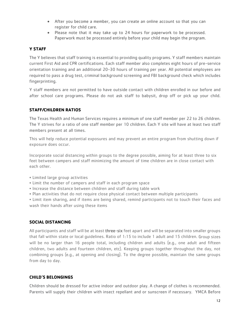- After you become a member, you can create an online account so that you can register for child care.
- Please note that it may take up to 24 hours for paperwork to be processed. Paperwork must be processed entirely before your child may begin the program.

# **Y STAFF**

The Y believes that staff training is essential to providing quality programs. Y staff members maintain current First Aid and CPR certifications. Each staff member also completes eight hours of pre-service orientation training and an additional 20-30 hours of training per year. All potential employees are required to pass a drug test, criminal background screening and FBI background check which includes fingerprinting.

Y staff members are not permitted to have outside contact with children enrolled in our before and after school care programs. Please do not ask staff to babysit, drop off or pick up your child.

# **STAFF/CHILDREN RATIOS**

The Texas Health and Human Services requires a minimum of one staff member per 22 to 26 children. The Y strives for a ratio of one staff member per 10 children. Each Y site will have at least two staff members present at all times.

This will help reduce potential exposures and may prevent an entire program from shutting down if exposure does occur.

Incorporate social distancing within groups to the degree possible, aiming for at least three to six feet between campers and staff minimizing the amount of time children are in close contact with each other.

- Limited large group activities
- Limit the number of campers and staff in each program space
- Increase the distance between children and staff during table work
- Plan activities that do not require close physical contact between multiple participants

• Limit item sharing, and if items are being shared, remind participants not to touch their faces and wash their hands after using these items

# **SOCIAL DISTANCING**

All participants and staff will be at least three-six feet apart and will be separated into smaller groups that fall within state or local guidelines. Ratio of 1:15 to include 1 adult and 15 children. Group sizes will be no larger than 16 people total, including children and adults (e.g., one adult and fifteen children, two adults and fourteen children, etc). Keeping groups together throughout the day, not combining groups (e.g., at opening and closing). To the degree possible, maintain the same groups from day to day.

# **CHILD'S BELONGINGS**

Children should be dressed for active indoor and outdoor play. A change of clothes is recommended. Parents will supply their children with insect repellant and or sunscreen if necessary. YMCA Before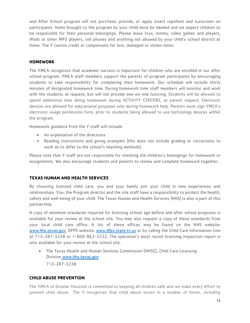and After School program will not purchase, provide, or apply insect repellant and sunscreen on participants. Items brought to the program by your child must be labeled and we expect children to be responsible for their personal belongings. Please leave toys, money, video games and players, iPods or other MP3 players, cell phones and anything not allowed by your child's school district at home. The Y cannot credit or compensate for lost, damaged or stolen items.

# **HOMEWORK**

The YMCA recognizes that academic success is important for children who are enrolled in our after school program. YMCA staff members support the parents of program participants by encouraging students to take responsibility for completing their homework. Our schedule will include thirty minutes of designated homework time. During homework time staff members will monitor and work with the students at request, but will not provide one-on-one tutoring. Students will be allowed to spend additional time doing homework during ACTIVITY CENTERS, at parent request. Electronic devices are allowed for educational purposes only during homework help. Parents must sign YMCA's electronic usage permission form, prior to students being allowed to use technology devices within the program.

Homework guidance from the Y staff will include:

- An explanation of the directions
- Reading instructions and giving examples (this does not include grading or corrections to work as to defer to the school's teaching methods)

Please note that Y staff are not responsible for checking the children's belongings for homework or assignments. We also encourage students and parents to review and complete homework together.

# **TEXAS HUMAN AND HEALTH SERVICES**

By choosing licensed child care, you and your family join your child in new experiences and relationships. You, the Program director and the site staff have a responsibility to protect the health, safety and well-being of your child. The Texas Human and Health Services (HHS) is also a part of this partnership.

A copy of minimum standards required for licensing school age before and after school programs is available for your review at the school site. You may also request a copy of these standards from your local child care office. A list of these offices may be found on the HHS website: [www.hhs.texas.gov,](http://www.hhs.texas.gov/) DFPS website: [www.dfps.state.tx.us](http://www.dfps.state.tx.us/) or by calling the Child Care Information Line at 713-287-3238 or 1-800-862-5252. The operation's most recent licensing inspection report is also available for your review at the school site.

 The Texas Health and Human Services Commission (HHSC), Child Care Licensing Division www.hhs.texas.gov 713-287-3238

# **CHILD ABUSE PREVENTION**

The YMCA of Greater Houston is committed to keeping all children safe and we make every effort to prevent child abuse. The Y recognizes that child abuse exists in a number of forms, including